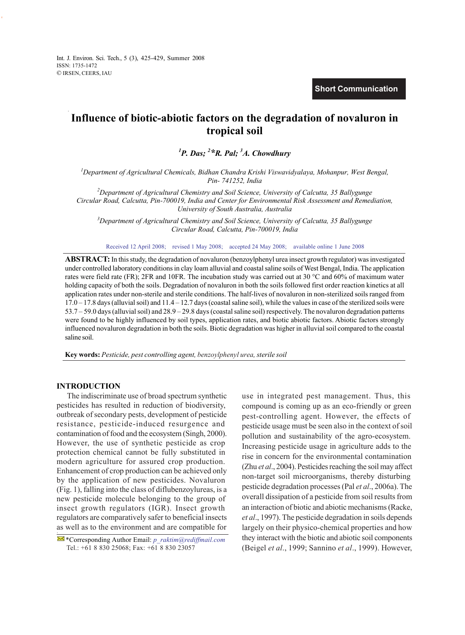Int. J. Environ. Sci. Tech., 5 (3), 425-429, Summer 2008 ISSN: 1735-1472 © IRSEN, CEERS, IAU

**Short Communication**

# **Influence of biotic-abiotic factors on the degradation of novaluron in tropical soil**

*1 P. Das; <sup>2</sup> \*R. Pal; 3 A. Chowdhury* 

*1 Department of Agricultural Chemicals, Bidhan Chandra Krishi Viswavidyalaya, Mohanpur, West Bengal, Pin- 741252, India* 

*2 Department of Agricultural Chemistry and Soil Science, University of Calcutta, 35 Ballygunge Circular Road, Calcutta, Pin-700019, India and Center for Environmental Risk Assessment and Remediation, University of South Australia, Australia* 

*3 Department of Agricultural Chemistry and Soil Science, University of Calcutta, 35 Ballygunge Circular Road, Calcutta, Pin-700019, India*

Received 12 April 2008; revised 1 May 2008; accepted 24 May 2008; available online 1 June 2008

**ABSTRACT:** In this study, the degradation of novaluron (benzoylphenyl urea insect growth regulator) was investigated under controlled laboratory conditions in clay loam alluvial and coastal saline soils of West Bengal, India. The application rates were field rate (FR); 2FR and 10FR. The incubation study was carried out at 30 °C and 60% of maximum water holding capacity of both the soils. Degradation of novaluron in both the soils followed first order reaction kinetics at all application rates under non-sterile and sterile conditions. The half-lives of novaluron in non-sterilized soils ranged from  $17.0 - 17.8$  days (alluvial soil) and  $11.4 - 12.7$  days (coastal saline soil), while the values in case of the sterilized soils were 53.7 – 59.0 days (alluvial soil) and 28.9 – 29.8 days (coastal saline soil) respectively. The novaluron degradation patterns were found to be highly influenced by soil types, application rates, and biotic abiotic factors. Abiotic factors strongly influenced novaluron degradation in both the soils. Biotic degradation was higher in alluvial soil compared to the coastal saline soil.

**Key words:** *Pesticide, pest controlling agent, benzoylphenyl urea, sterile soil*

# **INTRODUCTION**

 The indiscriminate use of broad spectrum synthetic pesticides has resulted in reduction of biodiversity, outbreak of secondary pests, development of pesticide resistance, pesticide-induced resurgence and contamination of food and the ecosystem (Singh, 2000). However, the use of synthetic pesticide as crop protection chemical cannot be fully substituted in modern agriculture for assured crop production. Enhancement of crop production can be achieved only by the application of new pesticides. Novaluron (Fig. 1), falling into the class of diflubenzoylureas, is a new pesticide molecule belonging to the group of insect growth regulators (IGR). Insect growth regulators are comparatively safer to beneficial insects as well as to the environment and are compatible for use in integrated pest management. Thus, this compound is coming up as an eco-friendly or green pest-controlling agent. However, the effects of pesticide usage must be seen also in the context of soil pollution and sustainability of the agro-ecosystem. Increasing pesticide usage in agriculture adds to the rise in concern for the environmental contamination (Zhu *et al*., 2004). Pesticides reaching the soil may affect non-target soil microorganisms, thereby disturbing pesticide degradation processes (Pal *et al*., 2006a). The overall dissipation of a pesticide from soil results from an interaction of biotic and abiotic mechanisms (Racke, *et al*., 1997). The pesticide degradation in soils depends largely on their physico-chemical properties and how they interact with the biotic and abiotic soil components (Beigel *et al*., 1999; Sannino *et al*., 1999). However,

 <sup>\*</sup>Corresponding Author Email: *p\_raktim@rediffmail.com* Tel.: +61 8 830 25068; Fax: +61 8 830 23057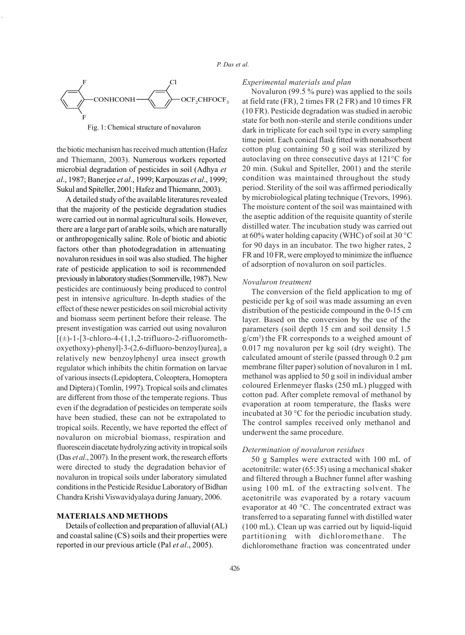

Fig. 1: Chemical structure of novaluron

the biotic mechanism has received much attention (Hafez and Thiemann, 2003). Numerous workers reported microbial degradation of pesticides in soil (Adhya *et al*., 1987; Banerjee *et al*., 1999; Karpouzas *et al*., 1999; Sukul and Spiteller, 2001; Hafez and Thiemann, 2003).

A detailed study of the available literatures revealed that the majority of the pesticide degradation studies were carried out in normal agricultural soils. However, there are a large part of arable soils, which are naturally or anthropogenically saline. Role of biotic and abiotic factors other than photodegradation in attenuating novaluron residues in soil was also studied. The higher rate of pesticide application to soil is recommended previously in laboratory studies (Sommerville, 1987). New pesticides are continuously being produced to control pest in intensive agriculture. In-depth studies of the effect of these newer pesticides on soil microbial activity and biomass seem pertinent before their release. The present investigation was carried out using novaluron  $[(\pm)$ -1-[3-chloro-4-(1,1,2-trifluoro-2-rifluoromethoxyethoxy)-phenyl]-3-(2,6-difluoro-benzoyl)urea], a relatively new benzoylphenyl urea insect growth regulator which inhibits the chitin formation on larvae of various insects (Lepidoptera, Coleoptera, Homoptera and Diptera) (Tomlin, 1997). Tropical soils and climates are different from those of the temperate regions. Thus even if the degradation of pesticides on temperate soils have been studied, these can not be extrapolated to tropical soils. Recently, we have reported the effect of novaluron on microbial biomass, respiration and fluorescein diacetate hydrolyzing activity in tropical soils (Das *et al*., 2007). In the present work, the research efforts were directed to study the degradation behavior of novaluron in tropical soils under laboratory simulated conditions in the Pesticide Residue Laboratory of Bidhan Chandra Krishi Viswavidyalaya during January, 2006.

# **MATERIALS AND METHODS**

Details of collection and preparation of alluvial (AL) and coastal saline (CS) soils and their properties were reported in our previous article (Pal *et al*., 2005).

## *Experimental materials and plan*

Novaluron (99.5 % pure) was applied to the soils at field rate (FR), 2 times FR (2 FR) and 10 times FR (10 FR). Pesticide degradation was studied in aerobic state for both non-sterile and sterile conditions under dark in triplicate for each soil type in every sampling time point. Each conical flask fitted with nonabsorbent cotton plug containing 50 g soil was sterilized by autoclaving on three consecutive days at 121°C for 20 min. (Sukul and Spiteller, 2001) and the sterile condition was maintained throughout the study period. Sterility of the soil was affirmed periodically by microbiological plating technique (Trevors, 1996). The moisture content of the soil was maintained with the aseptic addition of the requisite quantity of sterile distilled water. The incubation study was carried out at 60% water holding capacity (WHC) of soil at 30 °C for 90 days in an incubator. The two higher rates, 2 FR and 10 FR, were employed to minimize the influence of adsorption of novaluron on soil particles.

#### *Novaluron treatment*

The conversion of the field application to mg of pesticide per kg of soil was made assuming an even distribution of the pesticide compound in the 0-15 cm layer. Based on the conversion by the use of the parameters (soil depth 15 cm and soil density 1.5 g/cm3 ) the FR corresponds to a weighed amount of 0.017 mg novaluron per kg soil (dry weight). The calculated amount of sterile (passed through 0.2 μm membrane filter paper) solution of novaluron in 1 mL methanol was applied to 50 g soil in individual amber coloured Erlenmeyer flasks (250 mL) plugged with cotton pad. After complete removal of methanol by evaporation at room temperature, the flasks were incubated at 30 °C for the periodic incubation study. The control samples received only methanol and underwent the same procedure.

## *Determination of novaluron residues*

50 g Samples were extracted with 100 mL of acetonitrile: water (65:35) using a mechanical shaker and filtered through a Buchner funnel after washing using 100 mL of the extracting solvent. The acetonitrile was evaporated by a rotary vacuum evaporator at 40 °C. The concentrated extract was transferred to a separating funnel with distilled water (100 mL). Clean up was carried out by liquid-liquid partitioning with dichloromethane. The dichloromethane fraction was concentrated under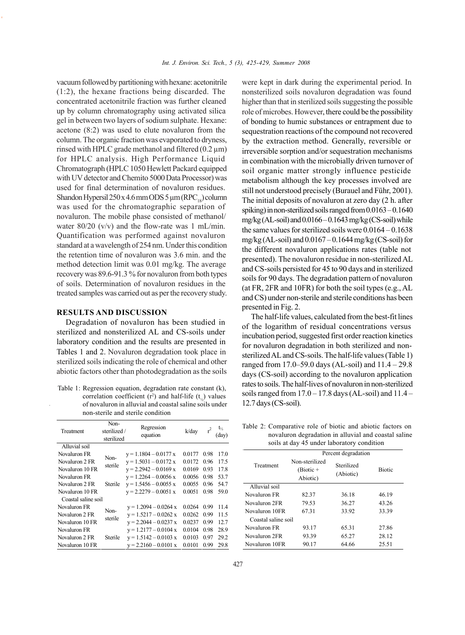vacuum followed by partitioning with hexane: acetonitrile (1:2), the hexane fractions being discarded. The concentrated acetonitrile fraction was further cleaned up by column chromatography using activated silica gel in between two layers of sodium sulphate. Hexane: acetone (8:2) was used to elute novaluron from the column. The organic fraction was evaporated to dryness, rinsed with HPLC grade methanol and filtered  $(0.2 \mu m)$ for HPLC analysis. High Performance Liquid Chromatograph (HPLC 1050 Hewlett Packard equipped with UV detector and Chemito 5000 Data Processor) was used for final determination of novaluron residues. Shandon Hypersil  $250 x 4.6$  mm ODS  $5 \mu m (RPC_{18})$  column was used for the chromatographic separation of novaluron. The mobile phase consisted of methanol/ water 80/20 (v/v) and the flow-rate was 1 mL/min. Quantification was performed against novaluron standard at a wavelength of 254 nm. Under this condition the retention time of novaluron was 3.6 min. and the method detection limit was 0.01 mg/kg. The average recovery was 89.6-91.3 % for novaluron from both types of soils. Determination of novaluron residues in the treated samples was carried out as per the recovery study.

# **RESULTS AND DISCUSSION**

Degradation of novaluron has been studied in sterilized and nonsterilized AL and CS-soils under laboratory condition and the results are presented in Tables 1 and 2. Novaluron degradation took place in sterilized soils indicating the role of chemical and other abiotic factors other than photodegradation as the soils

Table 1: Regression equation, degradation rate constant (k), correlation coefficient ( $r^2$ ) and half-life ( $t_{\gamma_2}$ ) values of novaluron in alluvial and coastal saline soils under non-sterile and sterile condition

| Treatment           | Non-<br>sterilized /<br>sterilized | Regression<br>equation  | k/day  | $r^2$ | tı,<br>(day) |
|---------------------|------------------------------------|-------------------------|--------|-------|--------------|
| Alluvial soil       |                                    |                         |        |       |              |
| Novaluron FR        | Non-                               | $y = 1.1804 - 0.0177$ x | 0.0177 | 0.98  | 17.0         |
| Novaluron 2 FR      | sterile                            | $y = 1.5031 - 0.0172 x$ | 0.0172 | 0.96  | 17.5         |
| Novaluron 10 FR     |                                    | $y = 2.2942 - 0.0169$ x | 0.0169 | 0.93  | 17.8         |
| Novaluron FR        |                                    | $y = 1.2264 - 0.0056$ x | 0.0056 | 0.98  | 53.7         |
| Novaluron 2 FR      | Sterile                            | $y = 1.5456 - 0.0055$ x | 0.0055 | 0.96  | 54.7         |
| Novaluron 10 FR     |                                    | $y = 2.2279 - 0.0051 x$ | 0.0051 | 0.98  | 59.0         |
| Coastal saline soil |                                    |                         |        |       |              |
| Novaluron FR        | Non-                               | $y = 1.2094 - 0.0264$ x | 0.0264 | 0.99  | 11.4         |
| Novaluron 2 FR      | sterile                            | $y = 1.5217 - 0.0262$ x | 0.0262 | 0.99  | 11.5         |
| Novaluron 10 FR     |                                    | $y = 2.2044 - 0.0237$ x | 0.0237 | 0.99  | 12.7         |
| Novaluron FR        |                                    | $y = 1.2177 - 0.0104$ x | 0.0104 | 0.98  | 28.9         |
| Novaluron 2 FR      | Sterile                            | $y = 1.5142 - 0.0103$ x | 0.0103 | 0.97  | 29.2         |
| Novaluron 10 FR     |                                    | $y = 2.2160 - 0.0101$ x | 0.0101 | 0.99  | 29.8         |

were kept in dark during the experimental period. In nonsterilized soils novaluron degradation was found higher than that in sterilized soils suggesting the possible role of microbes. However, there could be the possibility of bonding to humic substances or entrapment due to sequestration reactions of the compound not recovered by the extraction method. Generally, reversible or irreversible sorption and/or sequestration mechanisms in combination with the microbially driven turnover of soil organic matter strongly influence pesticide metabolism although the key processes involved are still not understood precisely (Burauel and Führ, 2001). The initial deposits of novaluron at zero day (2 h. after spiking) in non-sterilized soils ranged from 0.0163 – 0.1640 mg/kg (AL-soil) and 0.0166 – 0.1643 mg/kg (CS-soil) while the same values for sterilized soils were 0.0164 – 0.1638 mg/kg (AL-soil) and  $0.0167 - 0.1644$  mg/kg (CS-soil) for the different novaluron applications rates (table not presented). The novaluron residue in non-sterilized AL and CS-soils persisted for 45 to 90 days and in sterilized soils for 90 days. The degradation pattern of novaluron (at FR, 2FR and 10FR) for both the soil types (e.g., AL and CS) under non-sterile and sterile conditions has been presented in Fig. 2.

The half-life values, calculated from the best-fit lines of the logarithm of residual concentrations versus incubation period, suggested first order reaction kinetics for novaluron degradation in both sterilized and nonsterilized AL and CS-soils. The half-life values (Table 1) ranged from 17.0–59.0 days (AL-soil) and 11.4 – 29.8 days (CS-soil) according to the novaluron application rates to soils. The half-lives of novaluron in non-sterilized soils ranged from  $17.0 - 17.8$  days (AL-soil) and  $11.4 -$ 12.7 days (CS-soil).

Table 2: Comparative role of biotic and abiotic factors on novaluron degradation in alluvial and coastal saline soils at day 45 under laboratory condition

| $5015$ at $94$ $72$ and $1000$ ator $\gamma$ condition |                                           |                         |               |  |  |  |  |
|--------------------------------------------------------|-------------------------------------------|-------------------------|---------------|--|--|--|--|
|                                                        | Percent degradation                       |                         |               |  |  |  |  |
| Treatment                                              | Non-sterilized<br>$(Biotic +$<br>Abiotic) | Sterilized<br>(Abiotic) | <b>Biotic</b> |  |  |  |  |
| Alluvial soil                                          |                                           |                         |               |  |  |  |  |
| Novaluron FR                                           | 82.37                                     | 36.18                   | 46.19         |  |  |  |  |
| Novaluron 2FR                                          | 79.53                                     | 36.27                   | 43.26         |  |  |  |  |
| Novaluron 10FR                                         | 67.31                                     | 33.92                   | 33.39         |  |  |  |  |
| Coastal saline soil                                    |                                           |                         |               |  |  |  |  |
| Novaluron FR                                           | 93.17                                     | 65.31                   | 27.86         |  |  |  |  |
| Novaluron 2FR                                          | 93.39                                     | 65.27                   | 28.12         |  |  |  |  |
| Novaluron 10FR                                         | 90.17                                     | 64.66                   | 25.51         |  |  |  |  |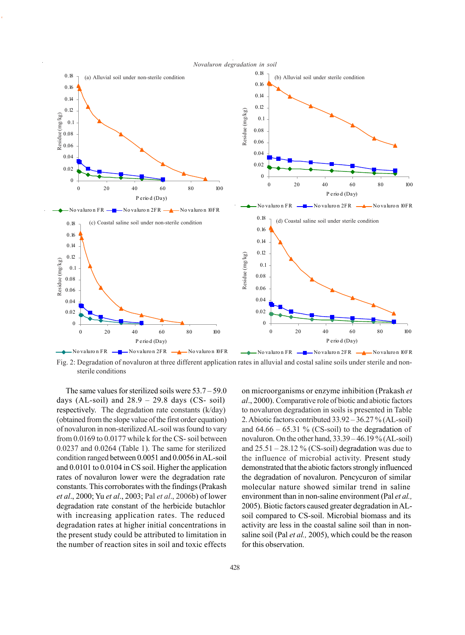



Fig. 2: Degradation of novaluron at three different application rates in alluvial and costal saline soils under sterile and nonsterile conditions

The same values for sterilized soils were 53.7 – 59.0 days (AL-soil) and  $28.9 - 29.8$  days (CS- soil) respectively. The degradation rate constants (k/day) (obtained from the slope value of the first order equation) of novaluron in non-sterilized AL-soil was found to vary from 0.0169 to 0.0177 while k for the CS- soil between 0.0237 and 0.0264 (Table 1). The same for sterilized condition ranged between 0.0051 and 0.0056 in AL-soil and 0.0101 to 0.0104 in CS soil. Higher the application rates of novaluron lower were the degradation rate constants. This corroborates with the findings (Prakash *et al*., 2000; Yu *et al*., 2003; Pal *et al*., 2006b) of lower degradation rate constant of the herbicide butachlor with increasing application rates. The reduced degradation rates at higher initial concentrations in the present study could be attributed to limitation in the number of reaction sites in soil and toxic effects on microorganisms or enzyme inhibition (Prakash *et al*., 2000). Comparative role of biotic and abiotic factors to novaluron degradation in soils is presented in Table 2. Abiotic factors contributed 33.92 – 36.27 % (AL-soil) and  $64.66 - 65.31$  % (CS-soil) to the degradation of novaluron. On the other hand, 33.39 – 46.19 % (AL-soil) and  $25.51 - 28.12 \%$  (CS-soil) degradation was due to the influence of microbial activity. Present study demonstrated that the abiotic factors strongly influenced the degradation of novaluron. Pencycuron of similar molecular nature showed similar trend in saline environment than in non-saline environment (Pal *et al.,* 2005). Biotic factors caused greater degradation in ALsoil compared to CS-soil. Microbial biomass and its activity are less in the coastal saline soil than in nonsaline soil (Pal *et al.,* 2005), which could be the reason for this observation.